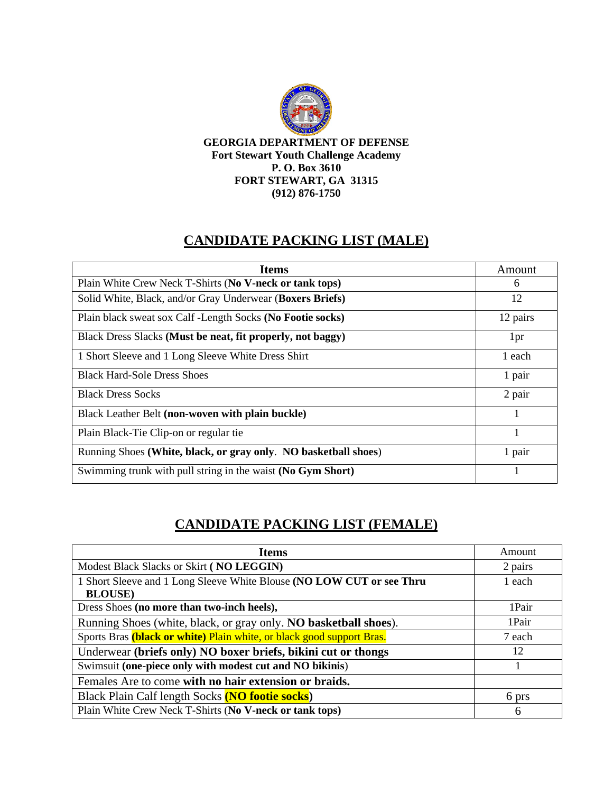

**GEORGIA DEPARTMENT OF DEFENSE Fort Stewart Youth Challenge Academy P. O. Box 3610 FORT STEWART, GA 31315 (912) 876-1750**

## **CANDIDATE PACKING LIST (MALE)**

| <b>Items</b>                                                    | Amount   |
|-----------------------------------------------------------------|----------|
| Plain White Crew Neck T-Shirts (No V-neck or tank tops)         | 6        |
| Solid White, Black, and/or Gray Underwear (Boxers Briefs)       | 12       |
| Plain black sweat sox Calf - Length Socks (No Footie socks)     | 12 pairs |
| Black Dress Slacks (Must be neat, fit properly, not baggy)      | 1pr      |
| 1 Short Sleeve and 1 Long Sleeve White Dress Shirt              | 1 each   |
| <b>Black Hard-Sole Dress Shoes</b>                              | 1 pair   |
| <b>Black Dress Socks</b>                                        | 2 pair   |
| Black Leather Belt (non-woven with plain buckle)                | 1        |
| Plain Black-Tie Clip-on or regular tie                          | 1        |
| Running Shoes (White, black, or gray only. NO basketball shoes) | 1 pair   |
| Swimming trunk with pull string in the waist (No Gym Short)     | 1        |

## **CANDIDATE PACKING LIST (FEMALE)**

| <b>Items</b>                                                          | Amount  |
|-----------------------------------------------------------------------|---------|
| Modest Black Slacks or Skirt (NO LEGGIN)                              | 2 pairs |
| 1 Short Sleeve and 1 Long Sleeve White Blouse (NO LOW CUT or see Thru | 1 each  |
| <b>BLOUSE</b> )                                                       |         |
| Dress Shoes (no more than two-inch heels),                            | 1Pair   |
| Running Shoes (white, black, or gray only. NO basketball shoes).      | 1Pair   |
| Sports Bras (black or white) Plain white, or black good support Bras. | 7 each  |
| Underwear (briefs only) NO boxer briefs, bikini cut or thongs         | 12      |
| Swimsuit (one-piece only with modest cut and NO bikinis)              |         |
| Females Are to come with no hair extension or braids.                 |         |
| Black Plain Calf length Socks (NO footie socks)                       | 6 prs   |
| Plain White Crew Neck T-Shirts (No V-neck or tank tops)               | 6       |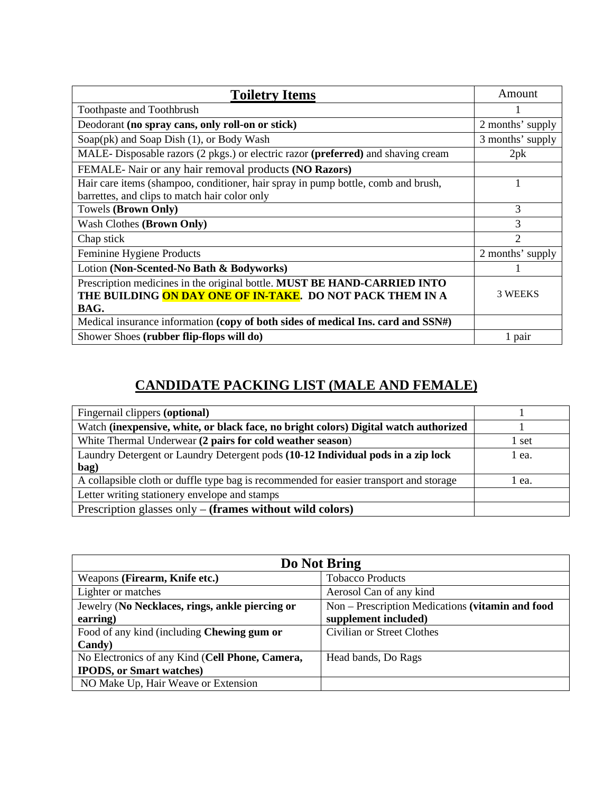| <b>Toiletry Items</b>                                                             | Amount           |
|-----------------------------------------------------------------------------------|------------------|
| Toothpaste and Toothbrush                                                         |                  |
| Deodorant (no spray cans, only roll-on or stick)                                  | 2 months' supply |
| Soap(pk) and Soap Dish (1), or Body Wash                                          | 3 months' supply |
| MALE-Disposable razors (2 pkgs.) or electric razor (preferred) and shaving cream  | 2pk              |
| FEMALE-Nair or any hair removal products (NO Razors)                              |                  |
| Hair care items (shampoo, conditioner, hair spray in pump bottle, comb and brush, |                  |
| barrettes, and clips to match hair color only                                     |                  |
| Towels (Brown Only)                                                               | 3                |
| Wash Clothes (Brown Only)                                                         | 3                |
| Chap stick                                                                        | $\overline{c}$   |
| Feminine Hygiene Products                                                         | 2 months' supply |
| Lotion (Non-Scented-No Bath & Bodyworks)                                          |                  |
| Prescription medicines in the original bottle. MUST BE HAND-CARRIED INTO          |                  |
| THE BUILDING ON DAY ONE OF IN-TAKE. DO NOT PACK THEM IN A                         | 3 WEEKS          |
| BAG.                                                                              |                  |
| Medical insurance information (copy of both sides of medical Ins. card and SSN#)  |                  |
| Shower Shoes (rubber flip-flops will do)                                          | 1 pair           |

## **CANDIDATE PACKING LIST (MALE AND FEMALE)**

| Fingernail clippers (optional)                                                           |       |
|------------------------------------------------------------------------------------------|-------|
| Watch (inexpensive, white, or black face, no bright colors) Digital watch authorized     |       |
| White Thermal Underwear (2 pairs for cold weather season)                                | 1 set |
| Laundry Detergent or Laundry Detergent pods (10-12 Individual pods in a zip lock<br>bag) | 1 ea. |
| A collapsible cloth or duffle type bag is recommended for easier transport and storage   | 1 ea. |
| Letter writing stationery envelope and stamps                                            |       |
| Prescription glasses only $-$ (frames without wild colors)                               |       |

| Do Not Bring                                    |                                                  |  |
|-------------------------------------------------|--------------------------------------------------|--|
| Weapons (Firearm, Knife etc.)                   | <b>Tobacco Products</b>                          |  |
| Lighter or matches                              | Aerosol Can of any kind                          |  |
| Jewelry (No Necklaces, rings, ankle piercing or | Non - Prescription Medications (vitamin and food |  |
| earring)                                        | supplement included)                             |  |
| Food of any kind (including Chewing gum or      | Civilian or Street Clothes                       |  |
| Candy)                                          |                                                  |  |
| No Electronics of any Kind (Cell Phone, Camera, | Head bands, Do Rags                              |  |
| <b>IPODS</b> , or Smart watches)                |                                                  |  |
| NO Make Up, Hair Weave or Extension             |                                                  |  |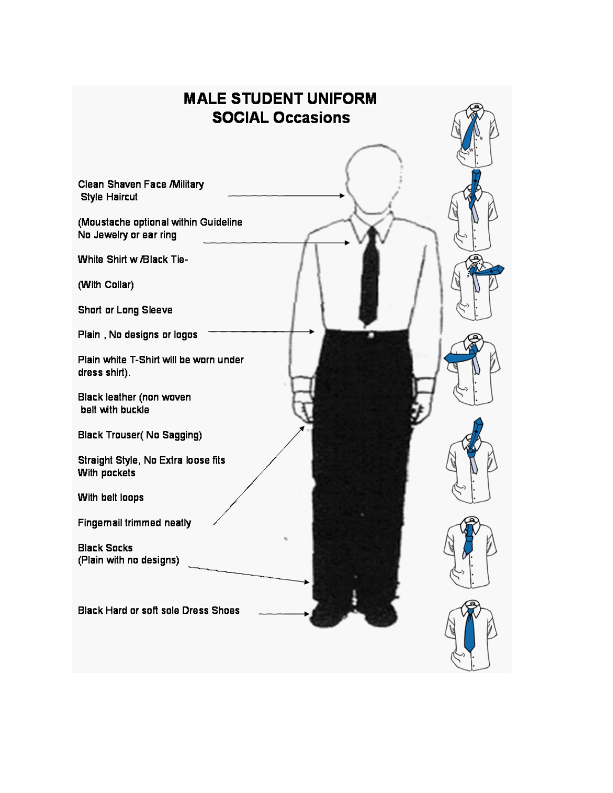